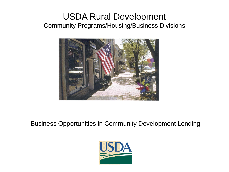### USDA Rural Development Community Programs/Housing/Business Divisions



### Business Opportunities in Community Development Lending

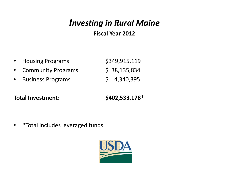# *Investing in Rural Maine*

### **Fiscal Year 2012**

| • Housing Programs   | \$349,915,119 |
|----------------------|---------------|
| • Community Programs | \$38,135,834  |
| • Business Programs  | \$4,340,395   |

**Total Investment: \$402,533,178\***

• \*Total includes leveraged funds

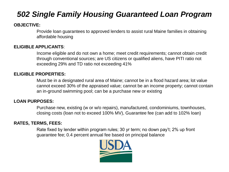### *502 Single Family Housing Guaranteed Loan Program*

#### **OBJECTIVE:**

Provide loan guarantees to approved lenders to assist rural Maine families in obtaining affordable housing

#### **ELIGIBLE APPLICANTS**:

Income eligible and do not own a home; meet credit requirements; cannot obtain credit through conventional sources; are US citizens or qualified aliens, have PITI ratio not exceeding 29% and TD ratio not exceeding 41%

#### **ELIGIBLE PROPERTIES:**

Must be in a designated rural area of Maine; cannot be in a flood hazard area; lot value cannot exceed 30% of the appraised value; cannot be an income property; cannot contain an in-ground swimming pool; can be a purchase new or existing

#### **LOAN PURPOSES:**

Purchase new, existing (w or w/o repairs), manufactured, condominiums, townhouses, closing costs (loan not to exceed 100% MV), Guarantee fee (can add to 102% loan)

#### **RATES, TERMS, FEES:**

Rate fixed by lender within program rules; 30 yr term; no down pay't; 2% up front guarantee fee; 0.4 percent annual fee based on principal balance

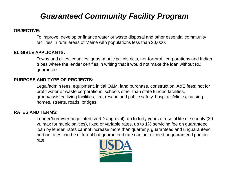### *Guaranteed Community Facility Program*

#### **OBJECTIVE:**

To improve, develop or finance water or waste disposal and other essential community facilities in rural areas of Maine with populations less than 20,000.

#### **ELIGIBLE APPLICANTS:**

Towns and cities, counties, quasi-municipal districts, not-for-profit corporations and Indian tribes where the lender certifies in writing that it would not make the loan without RD guarantee

#### **PURPOSE AND TYPE OF PROJECTS:**

Legal/admin fees, equipment, initial O&M, land purchase, construction, A&E fees; not for profit water or waste corporations, schools other than state funded facilities, group/assisted living facilities, fire, rescue and public safety, hospitals/clinics, nursing homes, streets, roads, bridges.

#### **RATES AND TERMS:**

Lender/borrower negotiated (w RD approval), up to forty years or useful life of security (30 yr. max for municipalities), fixed or variable rates, up to 1% servicing fee on guaranteed loan by lender, rates cannot increase more than quarterly, guaranteed and unguaranteed portion rates can be different but guaranteed rate can not exceed unguaranteed portion rate.

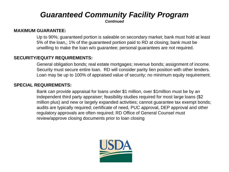# *Guaranteed Community Facility Program*

*Continued*

#### **MAXIMUM GUARANTEE:**

Up to 90%; guaranteed portion is saleable on secondary market; bank must hold at least 5% of the loan,; 1% of the guaranteed portion paid to RD at closing; bank must be unwilling to make the loan w/o guarantee; personal guarantees are not required.

#### **SECURITY/EQUITY REQUIREMENTS:**

General obligation bonds; real estate mortgages; revenue bonds; assignment of income. Security must secure entire loan. RD will consider parity lien position with other lenders. Loan may be up to 100% of appraised value of security; no minimum equity requirement.

#### **SPECIAL REQUIREMENTS:**

Bank can provide appraisal for loans under \$1 million, over \$1million must be by an independent third party appraiser; feasibility studies required for most large loans (\$2 million plus) and new or largely expanded activities; cannot guarantee tax exempt bonds; audits are typically required; certificate of need, PUC approval, DEP approval and other regulatory approvals are often required; RD Office of General Counsel must review/approve closing documents prior to loan closing

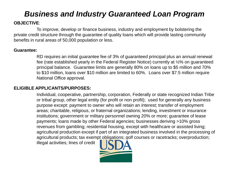### *Business and Industry Guaranteed Loan Program*

### **OBJECTIVE**:

To improve, develop or finance business, industry and employment by bolstering the private credit structure through the guarantee of quality loans which will provide lasting community benefits in rural areas of 50,000 population or less.

#### **Guarantee:**

RD requires an initial guarantee fee of 3% of guaranteed principal plus an annual renewal fee (rate established yearly in the Federal Register Notice) currently at ½% on guaranteed principal balance. Guarantee limits are generally 80% on loans up to \$5 million and 70% to \$10 million, loans over \$10 million are limited to 60%. Loans over \$7.5 million require National Office approval.

#### **ELIGIBLE APPLICANTS/PURPOSES:**

Individual, cooperative, partnership, corporation, Federally or state recognized Indian Tribe or tribal group, other legal entity (for profit or non profit); used for generally any business purpose except: payment to owner who will retain an interest; transfer of employment areas; charitable, religious, or fraternal organizations; lending, investment or insurance institutions; government or military personnel owning 20% or more; guarantee of lease payments; loans made by other Federal agencies; businesses deriving >10% gross revenues from gambling; residential housing, except with healthcare or assisted living; agricultural production except if part of an integrated business involved in the processing of agricultural products; tax exempt obligations; golf courses or racetracks; overproduction;

illegal activities; lines of credit

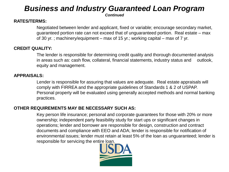## *Business and Industry Guaranteed Loan Program*

*Continued*

#### **RATES/TERMS:**

Negotiated between lender and applicant, fixed or variable; encourage secondary market, guaranteed portion rate can not exceed that of unguaranteed portion. Real estate – max of 30 yr. ; machinery/equipment – max of 15 yr.; working capital – max of 7 yr.

#### **CREDIT QUALITY:**

The lender is responsible for determining credit quality and thorough documented analysis in areas such as: cash flow, collateral, financial statements, industry status and outlook, equity and management.

#### **APPRAISALS:**

Lender is responsible for assuring that values are adequate. Real estate appraisals will comply with FIRREA and the appropriate guidelines of Standards 1 & 2 of USPAP. Personal property will be evaluated using generally accepted methods and normal banking practices.

#### **OTHER REQUIREMENTS MAY BE NECESSARY SUCH AS:**

Key person life insurance; personal and corporate guarantees for those with 20% or more ownership; independent party feasibility study for start ups or significant changes in operations; lender and borrower are responsible for design, construction and contract documents and compliance with EEO and ADA; lender is responsible for notification of environmental issues; lender must retain at least 5% of the loan as unguaranteed; lender is responsible for servicing the entire loan.